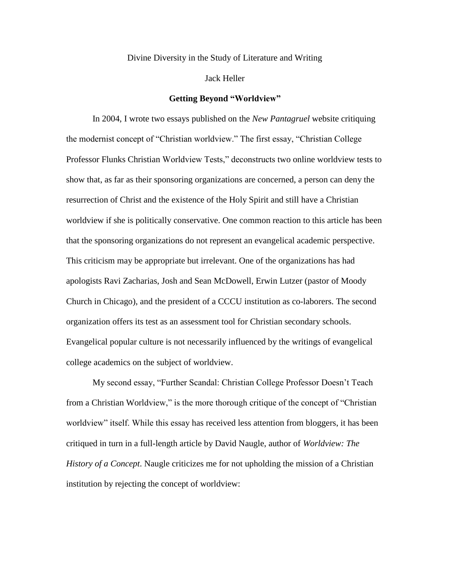Divine Diversity in the Study of Literature and Writing

Jack Heller

# **Getting Beyond "Worldview"**

In 2004, I wrote two essays published on the *New Pantagruel* website critiquing the modernist concept of "Christian worldview." The first essay, "Christian College Professor Flunks Christian Worldview Tests," deconstructs two online worldview tests to show that, as far as their sponsoring organizations are concerned, a person can deny the resurrection of Christ and the existence of the Holy Spirit and still have a Christian worldview if she is politically conservative. One common reaction to this article has been that the sponsoring organizations do not represent an evangelical academic perspective. This criticism may be appropriate but irrelevant. One of the organizations has had apologists Ravi Zacharias, Josh and Sean McDowell, Erwin Lutzer (pastor of Moody Church in Chicago), and the president of a CCCU institution as co-laborers. The second organization offers its test as an assessment tool for Christian secondary schools. Evangelical popular culture is not necessarily influenced by the writings of evangelical college academics on the subject of worldview.

My second essay, "Further Scandal: Christian College Professor Doesn't Teach from a Christian Worldview," is the more thorough critique of the concept of "Christian worldview" itself. While this essay has received less attention from bloggers, it has been critiqued in turn in a full-length article by David Naugle, author of *Worldview: The History of a Concept*. Naugle criticizes me for not upholding the mission of a Christian institution by rejecting the concept of worldview: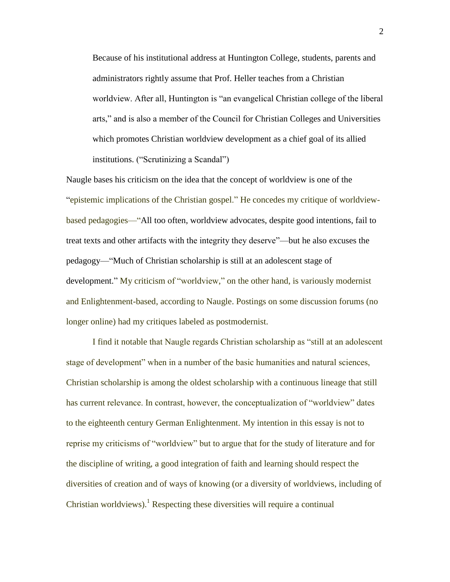Because of his institutional address at Huntington College, students, parents and administrators rightly assume that Prof. Heller teaches from a Christian worldview. After all, Huntington is "an evangelical Christian college of the liberal arts," and is also a member of the Council for Christian Colleges and Universities which promotes Christian worldview development as a chief goal of its allied institutions. ("Scrutinizing a Scandal")

Naugle bases his criticism on the idea that the concept of worldview is one of the "epistemic implications of the Christian gospel." He concedes my critique of worldviewbased pedagogies—"All too often, worldview advocates, despite good intentions, fail to treat texts and other artifacts with the integrity they deserve"—but he also excuses the pedagogy—"Much of Christian scholarship is still at an adolescent stage of development." My criticism of "worldview," on the other hand, is variously modernist and Enlightenment-based, according to Naugle. Postings on some discussion forums (no longer online) had my critiques labeled as postmodernist.

I find it notable that Naugle regards Christian scholarship as "still at an adolescent stage of development" when in a number of the basic humanities and natural sciences, Christian scholarship is among the oldest scholarship with a continuous lineage that still has current relevance. In contrast, however, the conceptualization of "worldview" dates to the eighteenth century German Enlightenment. My intention in this essay is not to reprise my criticisms of "worldview" but to argue that for the study of literature and for the discipline of writing, a good integration of faith and learning should respect the diversities of creation and of ways of knowing (or a diversity of worldviews, including of Christian worldviews).<sup>1</sup> Respecting these diversities will require a continual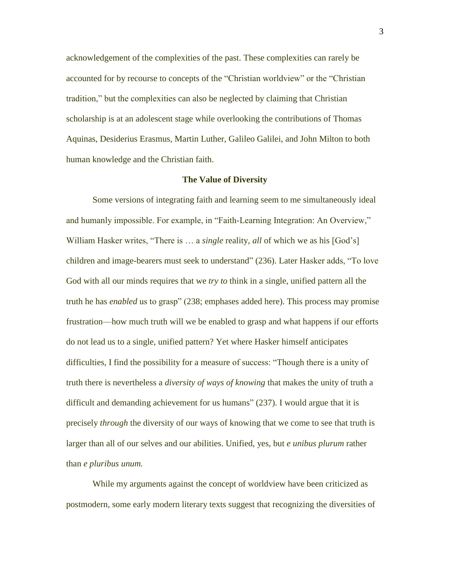acknowledgement of the complexities of the past. These complexities can rarely be accounted for by recourse to concepts of the "Christian worldview" or the "Christian tradition," but the complexities can also be neglected by claiming that Christian scholarship is at an adolescent stage while overlooking the contributions of Thomas Aquinas, Desiderius Erasmus, Martin Luther, Galileo Galilei, and John Milton to both human knowledge and the Christian faith.

### **The Value of Diversity**

Some versions of integrating faith and learning seem to me simultaneously ideal and humanly impossible. For example, in "Faith-Learning Integration: An Overview," William Hasker writes, "There is ... a *single* reality, *all* of which we as his [God's] children and image-bearers must seek to understand" (236). Later Hasker adds, "To love God with all our minds requires that we *try to* think in a single, unified pattern all the truth he has *enabled* us to grasp" (238; emphases added here). This process may promise frustration—how much truth will we be enabled to grasp and what happens if our efforts do not lead us to a single, unified pattern? Yet where Hasker himself anticipates difficulties, I find the possibility for a measure of success: "Though there is a unity of truth there is nevertheless a *diversity of ways of knowing* that makes the unity of truth a difficult and demanding achievement for us humans" (237). I would argue that it is precisely *through* the diversity of our ways of knowing that we come to see that truth is larger than all of our selves and our abilities. Unified, yes, but *e unibus plurum* rather than *e pluribus unum.*

While my arguments against the concept of worldview have been criticized as postmodern, some early modern literary texts suggest that recognizing the diversities of

3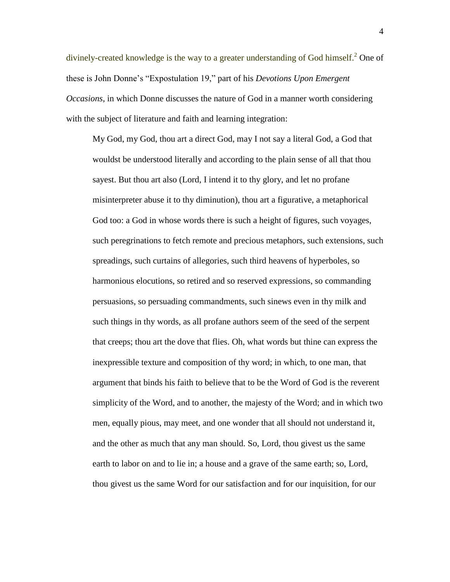divinely-created knowledge is the way to a greater understanding of God himself.<sup>2</sup> One of these is John Donne's "Expostulation 19," part of his *Devotions Upon Emergent Occasions*, in which Donne discusses the nature of God in a manner worth considering with the subject of literature and faith and learning integration:

My God, my God, thou art a direct God, may I not say a literal God, a God that wouldst be understood literally and according to the plain sense of all that thou sayest. But thou art also (Lord, I intend it to thy glory, and let no profane misinterpreter abuse it to thy diminution), thou art a figurative, a metaphorical God too: a God in whose words there is such a height of figures, such voyages, such peregrinations to fetch remote and precious metaphors, such extensions, such spreadings, such curtains of allegories, such third heavens of hyperboles, so harmonious elocutions, so retired and so reserved expressions, so commanding persuasions, so persuading commandments, such sinews even in thy milk and such things in thy words, as all profane authors seem of the seed of the serpent that creeps; thou art the dove that flies. Oh, what words but thine can express the inexpressible texture and composition of thy word; in which, to one man, that argument that binds his faith to believe that to be the Word of God is the reverent simplicity of the Word, and to another, the majesty of the Word; and in which two men, equally pious, may meet, and one wonder that all should not understand it, and the other as much that any man should. So, Lord, thou givest us the same earth to labor on and to lie in; a house and a grave of the same earth; so, Lord, thou givest us the same Word for our satisfaction and for our inquisition, for our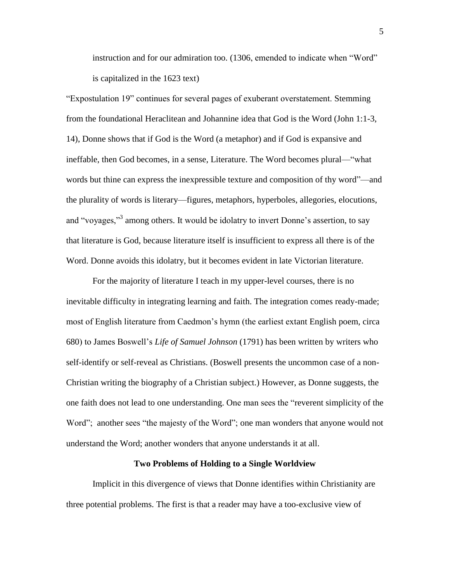instruction and for our admiration too. (1306, emended to indicate when "Word" is capitalized in the 1623 text)

"Expostulation 19" continues for several pages of exuberant overstatement. Stemming from the foundational Heraclitean and Johannine idea that God is the Word (John 1:1-3, 14), Donne shows that if God is the Word (a metaphor) and if God is expansive and ineffable, then God becomes, in a sense, Literature. The Word becomes plural—"what words but thine can express the inexpressible texture and composition of thy word"—and the plurality of words is literary—figures, metaphors, hyperboles, allegories, elocutions, and "voyages,"<sup>3</sup> among others. It would be idolatry to invert Donne's assertion, to say that literature is God, because literature itself is insufficient to express all there is of the Word. Donne avoids this idolatry, but it becomes evident in late Victorian literature.

For the majority of literature I teach in my upper-level courses, there is no inevitable difficulty in integrating learning and faith. The integration comes ready-made; most of English literature from Caedmon's hymn (the earliest extant English poem, circa 680) to James Boswell's *Life of Samuel Johnson* (1791) has been written by writers who self-identify or self-reveal as Christians. (Boswell presents the uncommon case of a non-Christian writing the biography of a Christian subject.) However, as Donne suggests, the one faith does not lead to one understanding. One man sees the "reverent simplicity of the Word"; another sees "the majesty of the Word"; one man wonders that anyone would not understand the Word; another wonders that anyone understands it at all.

#### **Two Problems of Holding to a Single Worldview**

Implicit in this divergence of views that Donne identifies within Christianity are three potential problems. The first is that a reader may have a too-exclusive view of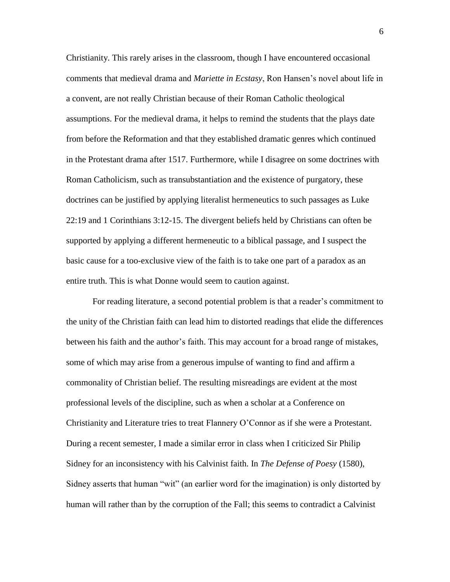Christianity. This rarely arises in the classroom, though I have encountered occasional comments that medieval drama and *Mariette in Ecstasy*, Ron Hansen's novel about life in a convent, are not really Christian because of their Roman Catholic theological assumptions. For the medieval drama, it helps to remind the students that the plays date from before the Reformation and that they established dramatic genres which continued in the Protestant drama after 1517. Furthermore, while I disagree on some doctrines with Roman Catholicism, such as transubstantiation and the existence of purgatory, these doctrines can be justified by applying literalist hermeneutics to such passages as Luke 22:19 and 1 Corinthians 3:12-15. The divergent beliefs held by Christians can often be supported by applying a different hermeneutic to a biblical passage, and I suspect the basic cause for a too-exclusive view of the faith is to take one part of a paradox as an entire truth. This is what Donne would seem to caution against.

For reading literature, a second potential problem is that a reader's commitment to the unity of the Christian faith can lead him to distorted readings that elide the differences between his faith and the author's faith. This may account for a broad range of mistakes, some of which may arise from a generous impulse of wanting to find and affirm a commonality of Christian belief. The resulting misreadings are evident at the most professional levels of the discipline, such as when a scholar at a Conference on Christianity and Literature tries to treat Flannery O'Connor as if she were a Protestant. During a recent semester, I made a similar error in class when I criticized Sir Philip Sidney for an inconsistency with his Calvinist faith. In *The Defense of Poesy* (1580), Sidney asserts that human "wit" (an earlier word for the imagination) is only distorted by human will rather than by the corruption of the Fall; this seems to contradict a Calvinist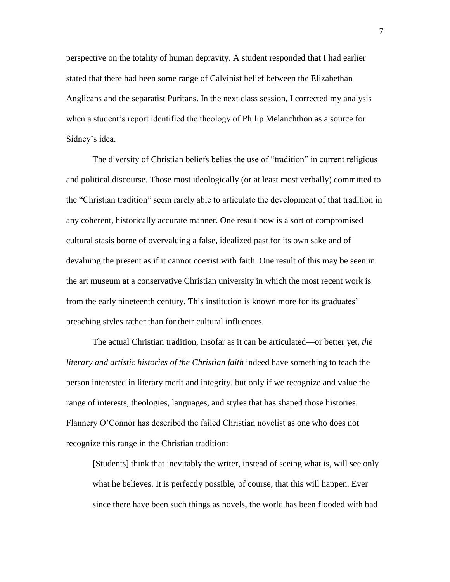perspective on the totality of human depravity. A student responded that I had earlier stated that there had been some range of Calvinist belief between the Elizabethan Anglicans and the separatist Puritans. In the next class session, I corrected my analysis when a student's report identified the theology of Philip Melanchthon as a source for Sidney's idea.

The diversity of Christian beliefs belies the use of "tradition" in current religious and political discourse. Those most ideologically (or at least most verbally) committed to the "Christian tradition" seem rarely able to articulate the development of that tradition in any coherent, historically accurate manner. One result now is a sort of compromised cultural stasis borne of overvaluing a false, idealized past for its own sake and of devaluing the present as if it cannot coexist with faith. One result of this may be seen in the art museum at a conservative Christian university in which the most recent work is from the early nineteenth century. This institution is known more for its graduates' preaching styles rather than for their cultural influences.

The actual Christian tradition, insofar as it can be articulated—or better yet, *the literary and artistic histories of the Christian faith* indeed have something to teach the person interested in literary merit and integrity, but only if we recognize and value the range of interests, theologies, languages, and styles that has shaped those histories. Flannery O'Connor has described the failed Christian novelist as one who does not recognize this range in the Christian tradition:

[Students] think that inevitably the writer, instead of seeing what is, will see only what he believes. It is perfectly possible, of course, that this will happen. Ever since there have been such things as novels, the world has been flooded with bad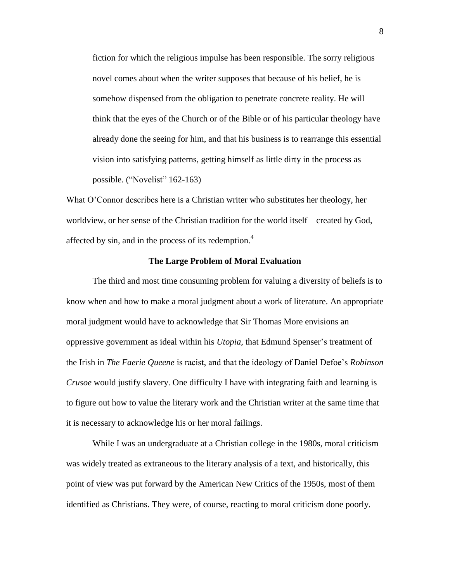fiction for which the religious impulse has been responsible. The sorry religious novel comes about when the writer supposes that because of his belief, he is somehow dispensed from the obligation to penetrate concrete reality. He will think that the eyes of the Church or of the Bible or of his particular theology have already done the seeing for him, and that his business is to rearrange this essential vision into satisfying patterns, getting himself as little dirty in the process as possible. ("Novelist" 162-163)

What O'Connor describes here is a Christian writer who substitutes her theology, her worldview, or her sense of the Christian tradition for the world itself—created by God, affected by sin, and in the process of its redemption.<sup>4</sup>

## **The Large Problem of Moral Evaluation**

The third and most time consuming problem for valuing a diversity of beliefs is to know when and how to make a moral judgment about a work of literature. An appropriate moral judgment would have to acknowledge that Sir Thomas More envisions an oppressive government as ideal within his *Utopia*, that Edmund Spenser's treatment of the Irish in *The Faerie Queene* is racist, and that the ideology of Daniel Defoe's *Robinson Crusoe* would justify slavery. One difficulty I have with integrating faith and learning is to figure out how to value the literary work and the Christian writer at the same time that it is necessary to acknowledge his or her moral failings.

While I was an undergraduate at a Christian college in the 1980s, moral criticism was widely treated as extraneous to the literary analysis of a text, and historically, this point of view was put forward by the American New Critics of the 1950s, most of them identified as Christians. They were, of course, reacting to moral criticism done poorly.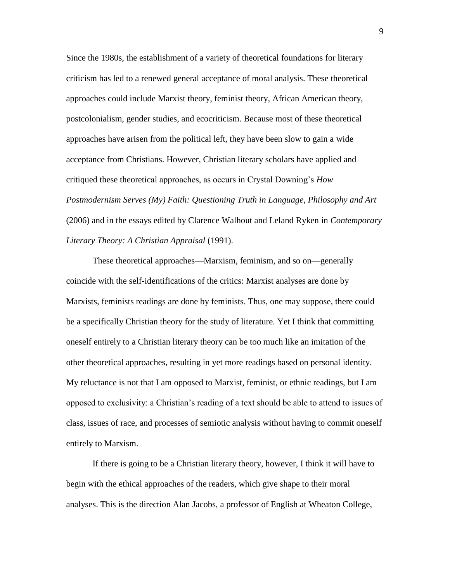Since the 1980s, the establishment of a variety of theoretical foundations for literary criticism has led to a renewed general acceptance of moral analysis. These theoretical approaches could include Marxist theory, feminist theory, African American theory, postcolonialism, gender studies, and ecocriticism. Because most of these theoretical approaches have arisen from the political left, they have been slow to gain a wide acceptance from Christians. However, Christian literary scholars have applied and critiqued these theoretical approaches, as occurs in Crystal Downing's *How Postmodernism Serves (My) Faith: Questioning Truth in Language, Philosophy and Art* (2006) and in the essays edited by Clarence Walhout and Leland Ryken in *Contemporary Literary Theory: A Christian Appraisal* (1991).

These theoretical approaches—Marxism, feminism, and so on—generally coincide with the self-identifications of the critics: Marxist analyses are done by Marxists, feminists readings are done by feminists. Thus, one may suppose, there could be a specifically Christian theory for the study of literature. Yet I think that committing oneself entirely to a Christian literary theory can be too much like an imitation of the other theoretical approaches, resulting in yet more readings based on personal identity. My reluctance is not that I am opposed to Marxist, feminist, or ethnic readings, but I am opposed to exclusivity: a Christian's reading of a text should be able to attend to issues of class, issues of race, and processes of semiotic analysis without having to commit oneself entirely to Marxism.

If there is going to be a Christian literary theory, however, I think it will have to begin with the ethical approaches of the readers, which give shape to their moral analyses. This is the direction Alan Jacobs, a professor of English at Wheaton College,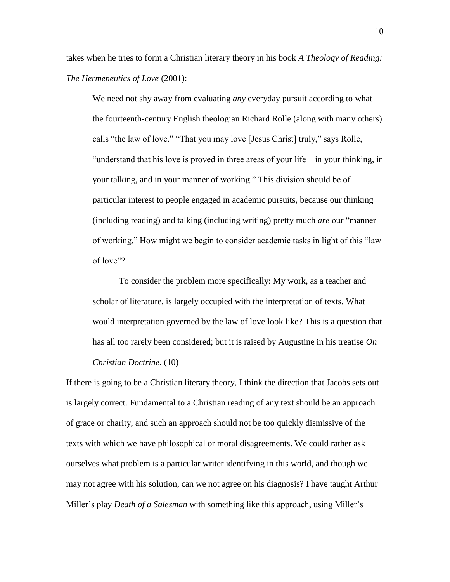takes when he tries to form a Christian literary theory in his book *A Theology of Reading: The Hermeneutics of Love* (2001):

We need not shy away from evaluating *any* everyday pursuit according to what the fourteenth-century English theologian Richard Rolle (along with many others) calls "the law of love." "That you may love [Jesus Christ] truly," says Rolle, "understand that his love is proved in three areas of your life—in your thinking, in your talking, and in your manner of working." This division should be of particular interest to people engaged in academic pursuits, because our thinking (including reading) and talking (including writing) pretty much *are* our "manner of working." How might we begin to consider academic tasks in light of this "law of love"?

To consider the problem more specifically: My work, as a teacher and scholar of literature, is largely occupied with the interpretation of texts. What would interpretation governed by the law of love look like? This is a question that has all too rarely been considered; but it is raised by Augustine in his treatise *On Christian Doctrine*. (10)

If there is going to be a Christian literary theory, I think the direction that Jacobs sets out is largely correct. Fundamental to a Christian reading of any text should be an approach of grace or charity, and such an approach should not be too quickly dismissive of the texts with which we have philosophical or moral disagreements. We could rather ask ourselves what problem is a particular writer identifying in this world, and though we may not agree with his solution, can we not agree on his diagnosis? I have taught Arthur Miller's play *Death of a Salesman* with something like this approach, using Miller's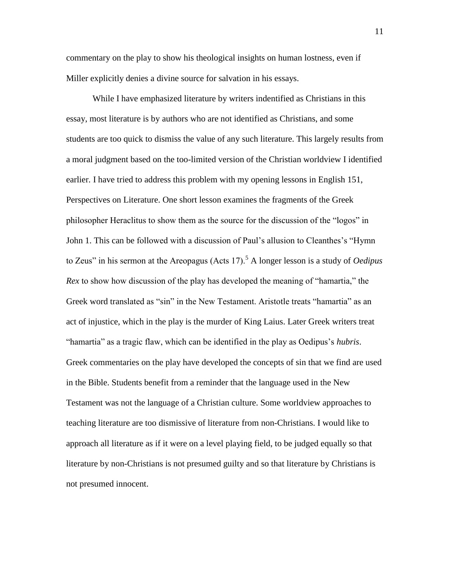commentary on the play to show his theological insights on human lostness, even if Miller explicitly denies a divine source for salvation in his essays.

While I have emphasized literature by writers indentified as Christians in this essay, most literature is by authors who are not identified as Christians, and some students are too quick to dismiss the value of any such literature. This largely results from a moral judgment based on the too-limited version of the Christian worldview I identified earlier. I have tried to address this problem with my opening lessons in English 151, Perspectives on Literature. One short lesson examines the fragments of the Greek philosopher Heraclitus to show them as the source for the discussion of the "logos" in John 1. This can be followed with a discussion of Paul's allusion to Cleanthes's "Hymn to Zeus" in his sermon at the Areopagus (Acts 17).<sup>5</sup> A longer lesson is a study of *Oedipus Rex* to show how discussion of the play has developed the meaning of "hamartia," the Greek word translated as "sin" in the New Testament. Aristotle treats "hamartia" as an act of injustice, which in the play is the murder of King Laius. Later Greek writers treat "hamartia" as a tragic flaw, which can be identified in the play as Oedipus's *hubris*. Greek commentaries on the play have developed the concepts of sin that we find are used in the Bible. Students benefit from a reminder that the language used in the New Testament was not the language of a Christian culture. Some worldview approaches to teaching literature are too dismissive of literature from non-Christians. I would like to approach all literature as if it were on a level playing field, to be judged equally so that literature by non-Christians is not presumed guilty and so that literature by Christians is not presumed innocent.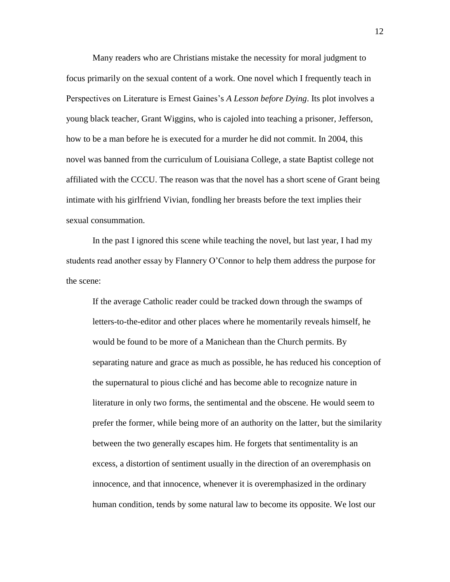Many readers who are Christians mistake the necessity for moral judgment to focus primarily on the sexual content of a work. One novel which I frequently teach in Perspectives on Literature is Ernest Gaines's *A Lesson before Dying*. Its plot involves a young black teacher, Grant Wiggins, who is cajoled into teaching a prisoner, Jefferson, how to be a man before he is executed for a murder he did not commit. In 2004, this novel was banned from the curriculum of Louisiana College, a state Baptist college not affiliated with the CCCU. The reason was that the novel has a short scene of Grant being intimate with his girlfriend Vivian, fondling her breasts before the text implies their sexual consummation.

In the past I ignored this scene while teaching the novel, but last year, I had my students read another essay by Flannery O'Connor to help them address the purpose for the scene:

If the average Catholic reader could be tracked down through the swamps of letters-to-the-editor and other places where he momentarily reveals himself, he would be found to be more of a Manichean than the Church permits. By separating nature and grace as much as possible, he has reduced his conception of the supernatural to pious cliché and has become able to recognize nature in literature in only two forms, the sentimental and the obscene. He would seem to prefer the former, while being more of an authority on the latter, but the similarity between the two generally escapes him. He forgets that sentimentality is an excess, a distortion of sentiment usually in the direction of an overemphasis on innocence, and that innocence, whenever it is overemphasized in the ordinary human condition, tends by some natural law to become its opposite. We lost our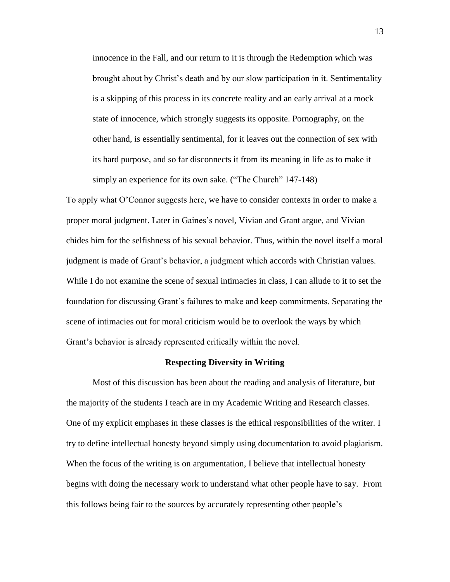innocence in the Fall, and our return to it is through the Redemption which was brought about by Christ's death and by our slow participation in it. Sentimentality is a skipping of this process in its concrete reality and an early arrival at a mock state of innocence, which strongly suggests its opposite. Pornography, on the other hand, is essentially sentimental, for it leaves out the connection of sex with its hard purpose, and so far disconnects it from its meaning in life as to make it simply an experience for its own sake. ("The Church" 147-148)

To apply what O'Connor suggests here, we have to consider contexts in order to make a proper moral judgment. Later in Gaines's novel, Vivian and Grant argue, and Vivian chides him for the selfishness of his sexual behavior. Thus, within the novel itself a moral judgment is made of Grant's behavior, a judgment which accords with Christian values. While I do not examine the scene of sexual intimacies in class, I can allude to it to set the foundation for discussing Grant's failures to make and keep commitments. Separating the scene of intimacies out for moral criticism would be to overlook the ways by which Grant's behavior is already represented critically within the novel.

### **Respecting Diversity in Writing**

Most of this discussion has been about the reading and analysis of literature, but the majority of the students I teach are in my Academic Writing and Research classes. One of my explicit emphases in these classes is the ethical responsibilities of the writer. I try to define intellectual honesty beyond simply using documentation to avoid plagiarism. When the focus of the writing is on argumentation, I believe that intellectual honesty begins with doing the necessary work to understand what other people have to say. From this follows being fair to the sources by accurately representing other people's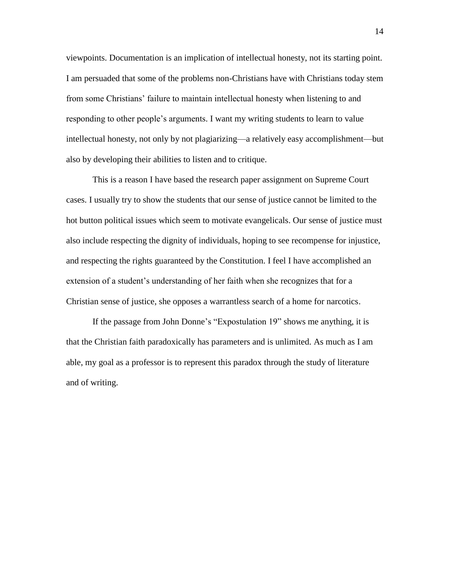viewpoints. Documentation is an implication of intellectual honesty, not its starting point. I am persuaded that some of the problems non-Christians have with Christians today stem from some Christians' failure to maintain intellectual honesty when listening to and responding to other people's arguments. I want my writing students to learn to value intellectual honesty, not only by not plagiarizing—a relatively easy accomplishment—but also by developing their abilities to listen and to critique.

This is a reason I have based the research paper assignment on Supreme Court cases. I usually try to show the students that our sense of justice cannot be limited to the hot button political issues which seem to motivate evangelicals. Our sense of justice must also include respecting the dignity of individuals, hoping to see recompense for injustice, and respecting the rights guaranteed by the Constitution. I feel I have accomplished an extension of a student's understanding of her faith when she recognizes that for a Christian sense of justice, she opposes a warrantless search of a home for narcotics.

If the passage from John Donne's "Expostulation 19" shows me anything, it is that the Christian faith paradoxically has parameters and is unlimited. As much as I am able, my goal as a professor is to represent this paradox through the study of literature and of writing.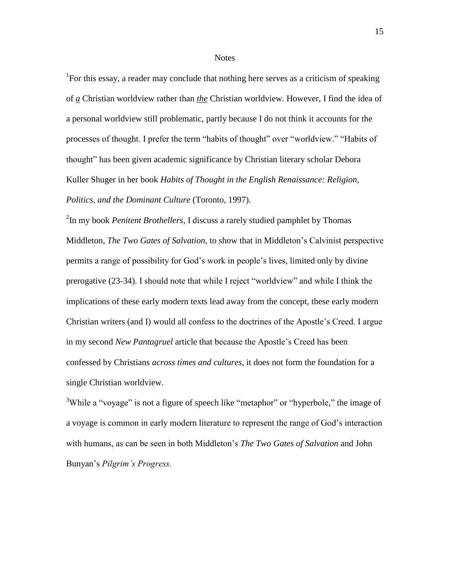#### **Notes**

<sup>1</sup>For this essay, a reader may conclude that nothing here serves as a criticism of speaking of *a* Christian worldview rather than *the* Christian worldview. However, I find the idea of a personal worldview still problematic, partly because I do not think it accounts for the processes of thought. I prefer the term "habits of thought" over "worldview." "Habits of thought" has been given academic significance by Christian literary scholar Debora Kuller Shuger in her book *Habits of Thought in the English Renaissance: Religion, Politics, and the Dominant Culture* (Toronto, 1997).

<sup>2</sup>In my book *Penitent Brothellers*, I discuss a rarely studied pamphlet by Thomas Middleton, *The Two Gates of Salvation*, to show that in Middleton's Calvinist perspective permits a range of possibility for God's work in people's lives, limited only by divine prerogative (23-34). I should note that while I reject "worldview" and while I think the implications of these early modern texts lead away from the concept, these early modern Christian writers (and I) would all confess to the doctrines of the Apostle's Creed. I argue in my second *New Pantagruel* article that because the Apostle's Creed has been confessed by Christians *across times and cultures*, it does not form the foundation for a single Christian worldview.

<sup>3</sup>While a "voyage" is not a figure of speech like "metaphor" or "hyperbole," the image of a voyage is common in early modern literature to represent the range of God's interaction with humans, as can be seen in both Middleton's *The Two Gates of Salvation* and John Bunyan's *Pilgrim's Progress.*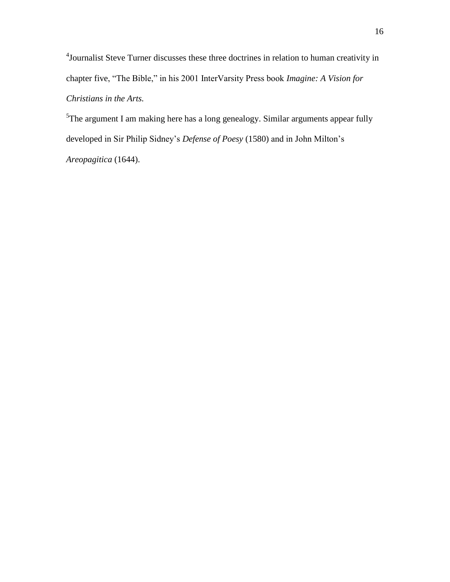<sup>4</sup> Journalist Steve Turner discusses these three doctrines in relation to human creativity in chapter five, "The Bible," in his 2001 InterVarsity Press book *Imagine: A Vision for Christians in the Arts.*

<sup>5</sup>The argument I am making here has a long genealogy. Similar arguments appear fully developed in Sir Philip Sidney's *Defense of Poesy* (1580) and in John Milton's *Areopagitica* (1644).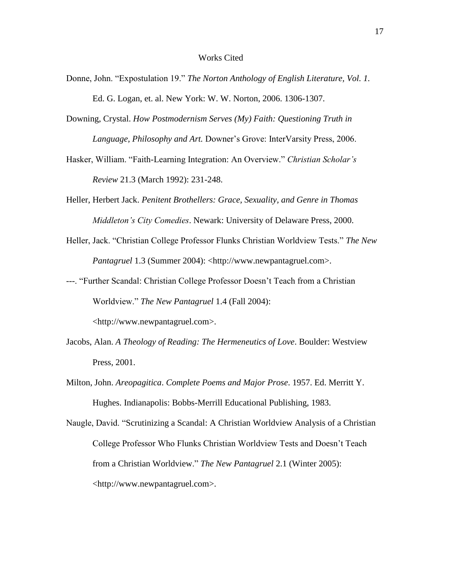- Donne, John. "Expostulation 19." *The Norton Anthology of English Literature, Vol. 1.* Ed. G. Logan, et. al. New York: W. W. Norton, 2006. 1306-1307.
- Downing, Crystal. *How Postmodernism Serves (My) Faith: Questioning Truth in Language, Philosophy and Art.* Downer's Grove: InterVarsity Press, 2006.
- Hasker, William. "Faith-Learning Integration: An Overview." *Christian Scholar's Review* 21.3 (March 1992): 231-248.
- Heller, Herbert Jack. *Penitent Brothellers: Grace, Sexuality, and Genre in Thomas Middleton's City Comedies*. Newark: University of Delaware Press, 2000.
- Heller, Jack. "Christian College Professor Flunks Christian Worldview Tests." *The New Pantagruel* 1.3 (Summer 2004): <http://www.newpantagruel.com>.
- ---. "Further Scandal: Christian College Professor Doesn't Teach from a Christian Worldview." *The New Pantagruel* 1.4 (Fall 2004): <http://www.newpantagruel.com>.
- Jacobs, Alan. *A Theology of Reading: The Hermeneutics of Love*. Boulder: Westview Press, 2001.
- Milton, John. *Areopagitica*. *Complete Poems and Major Prose*. 1957. Ed. Merritt Y. Hughes. Indianapolis: Bobbs-Merrill Educational Publishing, 1983.

Naugle, David. "Scrutinizing a Scandal: A Christian Worldview Analysis of a Christian College Professor Who Flunks Christian Worldview Tests and Doesn't Teach from a Christian Worldview." *The New Pantagruel* 2.1 (Winter 2005): <http://www.newpantagruel.com>.